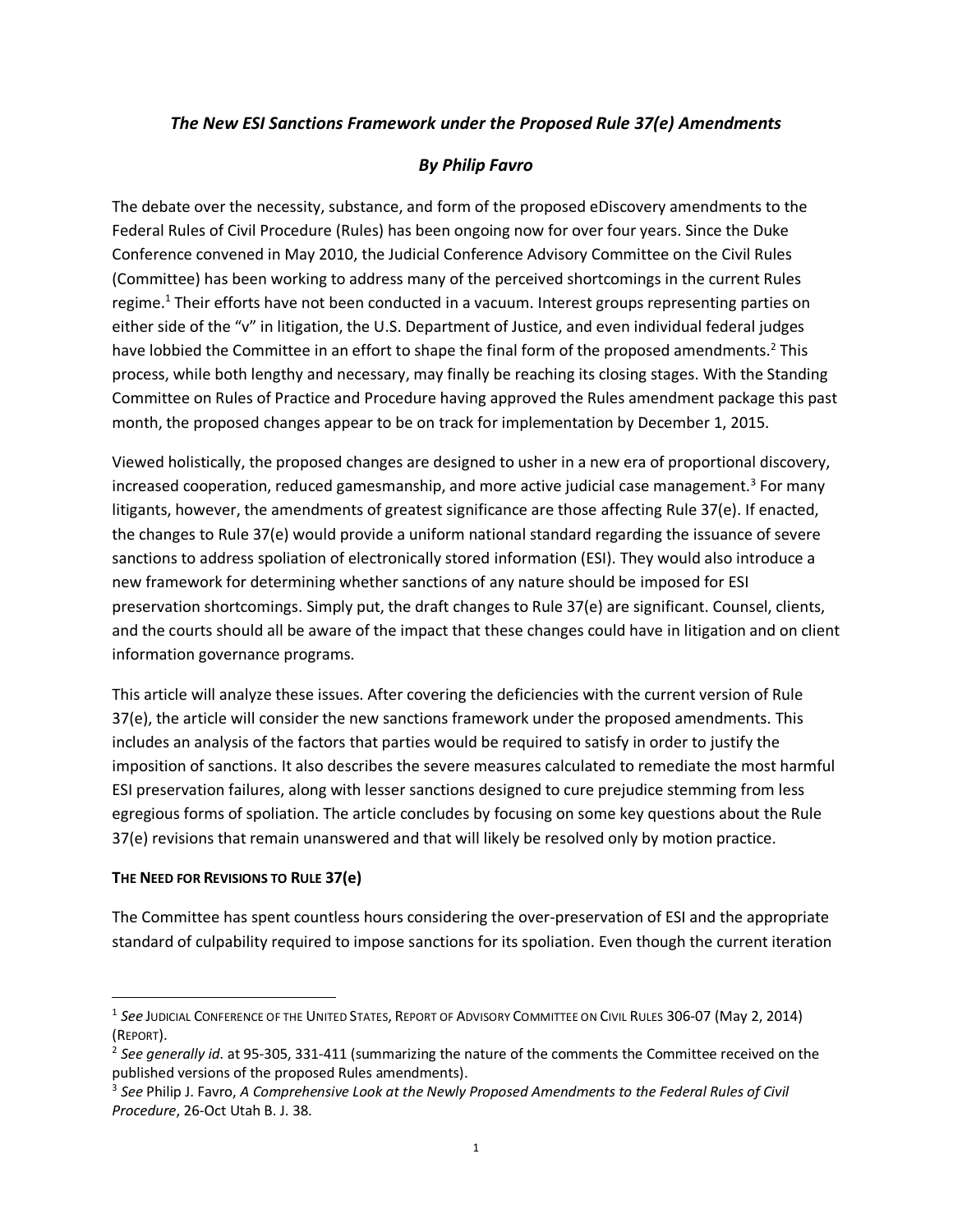## *The New ESI Sanctions Framework under the Proposed Rule 37(e) Amendments*

### *By Philip Favro*

The debate over the necessity, substance, and form of the proposed eDiscovery amendments to the Federal Rules of Civil Procedure (Rules) has been ongoing now for over four years. Since the Duke Conference convened in May 2010, the Judicial Conference Advisory Committee on the Civil Rules (Committee) has been working to address many of the perceived shortcomings in the current Rules regime.<sup>1</sup> Their efforts have not been conducted in a vacuum. Interest groups representing parties on either side of the "v" in litigation, the U.S. Department of Justice, and even individual federal judges have lobbied the Committee in an effort to shape the final form of the proposed amendments.<sup>2</sup> This process, while both lengthy and necessary, may finally be reaching its closing stages. With the Standing Committee on Rules of Practice and Procedure having approved the Rules amendment package this past month, the proposed changes appear to be on track for implementation by December 1, 2015.

Viewed holistically, the proposed changes are designed to usher in a new era of proportional discovery, increased cooperation, reduced gamesmanship, and more active judicial case management.<sup>3</sup> For many litigants, however, the amendments of greatest significance are those affecting Rule 37(e). If enacted, the changes to Rule 37(e) would provide a uniform national standard regarding the issuance of severe sanctions to address spoliation of electronically stored information (ESI). They would also introduce a new framework for determining whether sanctions of any nature should be imposed for ESI preservation shortcomings. Simply put, the draft changes to Rule 37(e) are significant. Counsel, clients, and the courts should all be aware of the impact that these changes could have in litigation and on client information governance programs.

This article will analyze these issues. After covering the deficiencies with the current version of Rule 37(e), the article will consider the new sanctions framework under the proposed amendments. This includes an analysis of the factors that parties would be required to satisfy in order to justify the imposition of sanctions. It also describes the severe measures calculated to remediate the most harmful ESI preservation failures, along with lesser sanctions designed to cure prejudice stemming from less egregious forms of spoliation. The article concludes by focusing on some key questions about the Rule 37(e) revisions that remain unanswered and that will likely be resolved only by motion practice.

#### **THE NEED FOR REVISIONS TO RULE 37(e)**

 $\overline{a}$ 

The Committee has spent countless hours considering the over-preservation of ESI and the appropriate standard of culpability required to impose sanctions for its spoliation. Even though the current iteration

<sup>1</sup> *See* JUDICIAL CONFERENCE OF THE UNITED STATES, REPORT OF ADVISORY COMMITTEE ON CIVIL RULES 306-07 (May 2, 2014) (REPORT).

<sup>2</sup> *See generally id*. at 95-305, 331-411 (summarizing the nature of the comments the Committee received on the published versions of the proposed Rules amendments).

<sup>&</sup>lt;sup>3</sup> See Philip J. Favro, A Comprehensive Look at the Newly Proposed Amendments to the Federal Rules of Civil *Procedure*, 26-Oct Utah B. J. 38.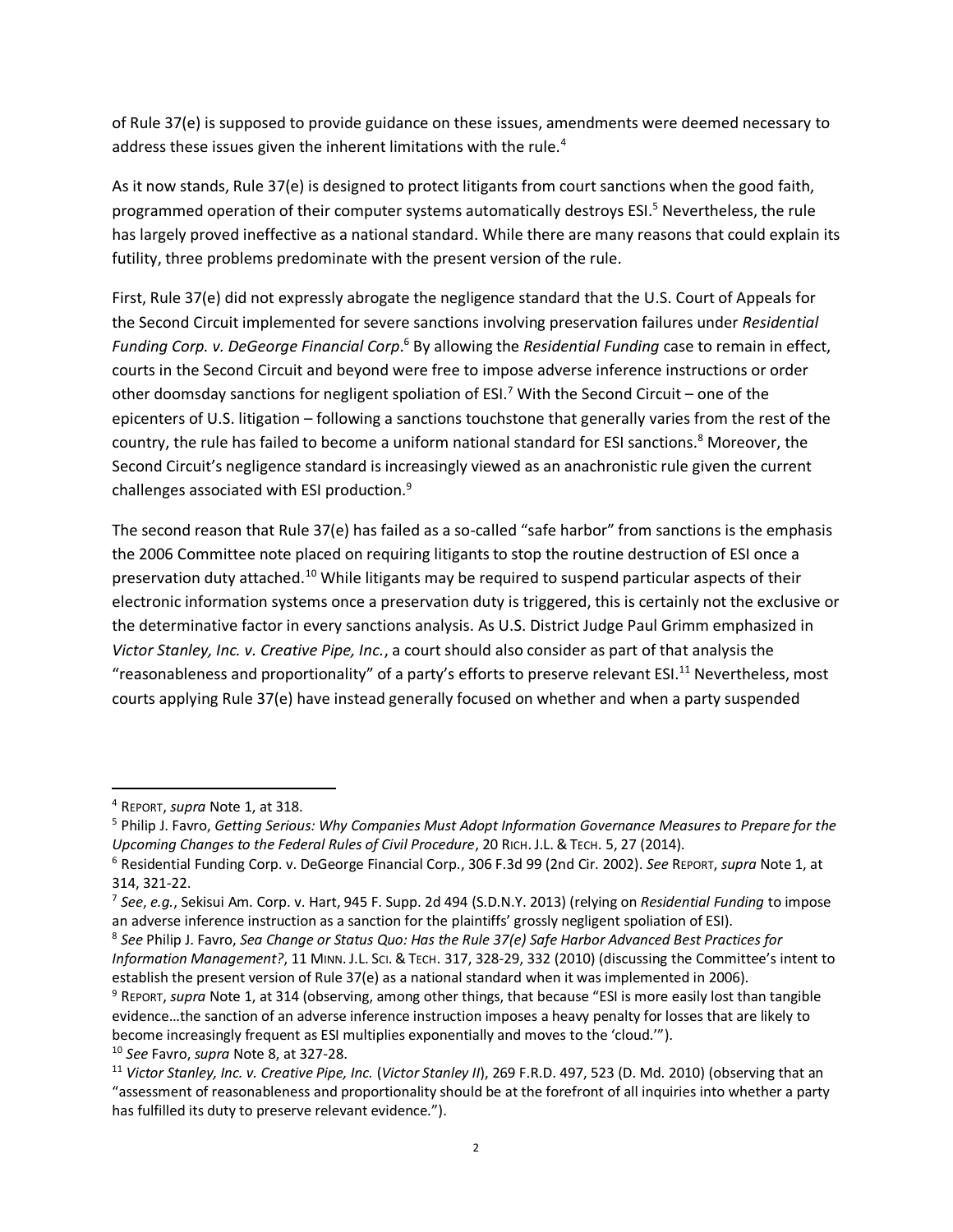of Rule 37(e) is supposed to provide guidance on these issues, amendments were deemed necessary to address these issues given the inherent limitations with the rule.<sup>4</sup>

As it now stands, Rule 37(e) is designed to protect litigants from court sanctions when the good faith, programmed operation of their computer systems automatically destroys ESI.<sup>5</sup> Nevertheless, the rule has largely proved ineffective as a national standard. While there are many reasons that could explain its futility, three problems predominate with the present version of the rule.

First, Rule 37(e) did not expressly abrogate the negligence standard that the U.S. Court of Appeals for the Second Circuit implemented for severe sanctions involving preservation failures under *Residential Funding Corp. v. DeGeorge Financial Corp*. <sup>6</sup> By allowing the *Residential Funding* case to remain in effect, courts in the Second Circuit and beyond were free to impose adverse inference instructions or order other doomsday sanctions for negligent spoliation of ESI.<sup>7</sup> With the Second Circuit – one of the epicenters of U.S. litigation – following a sanctions touchstone that generally varies from the rest of the country, the rule has failed to become a uniform national standard for ESI sanctions.<sup>8</sup> Moreover, the Second Circuit's negligence standard is increasingly viewed as an anachronistic rule given the current challenges associated with ESI production.<sup>9</sup>

The second reason that Rule 37(e) has failed as a so-called "safe harbor" from sanctions is the emphasis the 2006 Committee note placed on requiring litigants to stop the routine destruction of ESI once a preservation duty attached.<sup>10</sup> While litigants may be required to suspend particular aspects of their electronic information systems once a preservation duty is triggered, this is certainly not the exclusive or the determinative factor in every sanctions analysis. As U.S. District Judge Paul Grimm emphasized in *Victor Stanley, Inc. v. Creative Pipe, Inc.*, a court should also consider as part of that analysis the "reasonableness and proportionality" of a party's efforts to preserve relevant ESI.<sup>11</sup> Nevertheless, most courts applying Rule 37(e) have instead generally focused on whether and when a party suspended

 $\overline{\phantom{a}}$ 

<sup>10</sup> *See* Favro, *supra* Note 8, at 327-28.

<sup>4</sup> REPORT, *supra* Note 1, at 318.

<sup>5</sup> Philip J. Favro, *Getting Serious: Why Companies Must Adopt Information Governance Measures to Prepare for the Upcoming Changes to the Federal Rules of Civil Procedure*, 20 RICH. J.L. & TECH. 5, 27 (2014).

<sup>6</sup> Residential Funding Corp. v. DeGeorge Financial Corp., 306 F.3d 99 (2nd Cir. 2002). *See* REPORT, *supra* Note 1, at 314, 321-22.

<sup>7</sup> *See*, *e.g.*, Sekisui Am. Corp. v. Hart, 945 F. Supp. 2d 494 (S.D.N.Y. 2013) (relying on *Residential Funding* to impose an adverse inference instruction as a sanction for the plaintiffs' grossly negligent spoliation of ESI).

<sup>8</sup> *See* Philip J. Favro, *Sea Change or Status Quo: Has the Rule 37(e) Safe Harbor Advanced Best Practices for Information Management?*, 11 MINN. J.L. SCI. & TECH. 317, 328-29, 332 (2010) (discussing the Committee's intent to establish the present version of Rule 37(e) as a national standard when it was implemented in 2006).

<sup>9</sup> REPORT, *supra* Note 1, at 314 (observing, among other things, that because "ESI is more easily lost than tangible evidence…the sanction of an adverse inference instruction imposes a heavy penalty for losses that are likely to become increasingly frequent as ESI multiplies exponentially and moves to the 'cloud.'").

<sup>11</sup> *Victor Stanley, Inc. v. Creative Pipe, Inc.* (*Victor Stanley II*), 269 F.R.D. 497, 523 (D. Md. 2010) (observing that an "assessment of reasonableness and proportionality should be at the forefront of all inquiries into whether a party has fulfilled its duty to preserve relevant evidence.").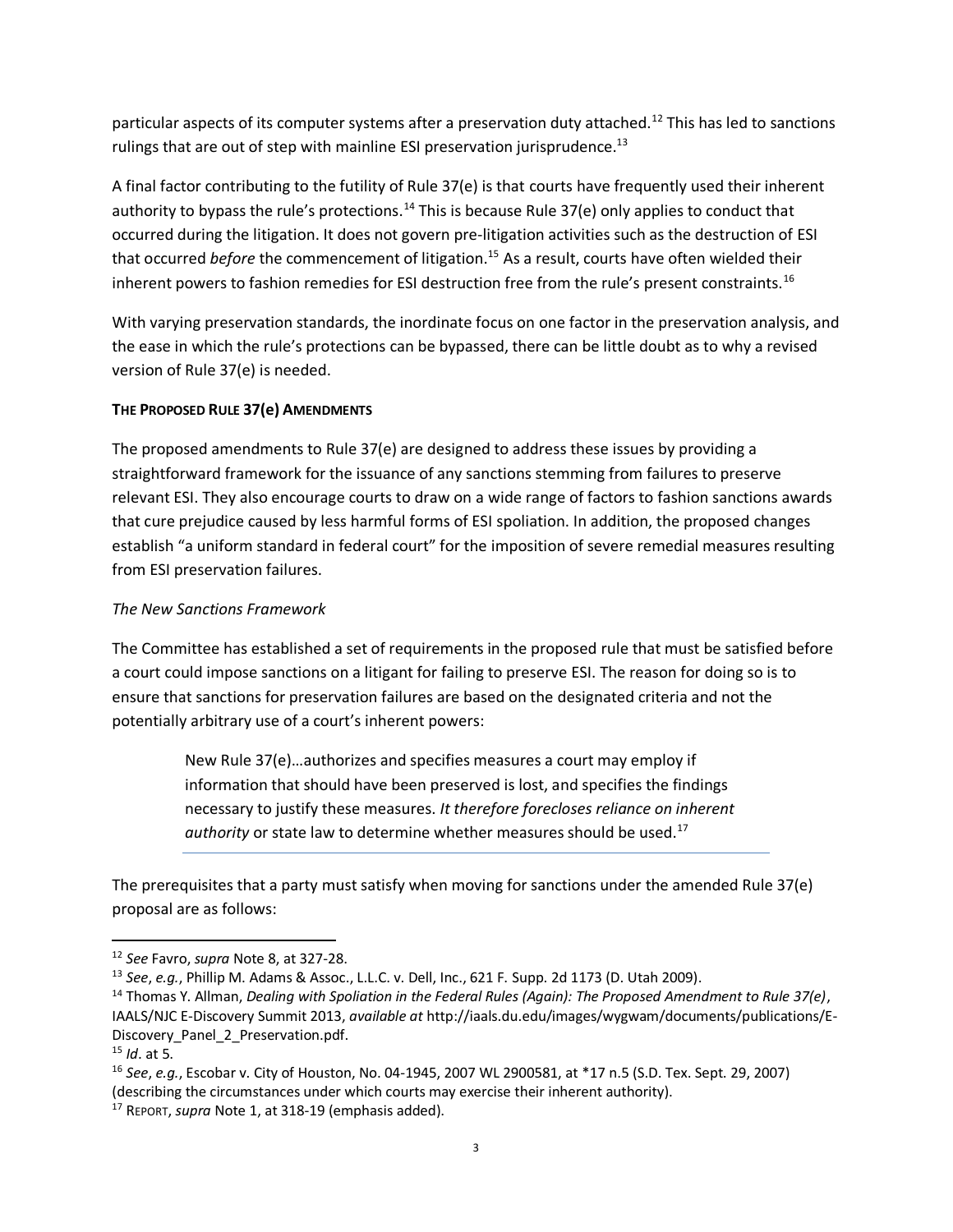particular aspects of its computer systems after a preservation duty attached.<sup>12</sup> This has led to sanctions rulings that are out of step with mainline ESI preservation jurisprudence. $^{13}$ 

A final factor contributing to the futility of Rule 37(e) is that courts have frequently used their inherent authority to bypass the rule's protections.<sup>14</sup> This is because Rule 37(e) only applies to conduct that occurred during the litigation. It does not govern pre-litigation activities such as the destruction of ESI that occurred *before* the commencement of litigation.<sup>15</sup> As a result, courts have often wielded their inherent powers to fashion remedies for ESI destruction free from the rule's present constraints.<sup>16</sup>

With varying preservation standards, the inordinate focus on one factor in the preservation analysis, and the ease in which the rule's protections can be bypassed, there can be little doubt as to why a revised version of Rule 37(e) is needed.

# **THE PROPOSED RULE 37(e) AMENDMENTS**

The proposed amendments to Rule 37(e) are designed to address these issues by providing a straightforward framework for the issuance of any sanctions stemming from failures to preserve relevant ESI. They also encourage courts to draw on a wide range of factors to fashion sanctions awards that cure prejudice caused by less harmful forms of ESI spoliation. In addition, the proposed changes establish "a uniform standard in federal court" for the imposition of severe remedial measures resulting from ESI preservation failures.

### *The New Sanctions Framework*

The Committee has established a set of requirements in the proposed rule that must be satisfied before a court could impose sanctions on a litigant for failing to preserve ESI. The reason for doing so is to ensure that sanctions for preservation failures are based on the designated criteria and not the potentially arbitrary use of a court's inherent powers:

> New Rule 37(e)…authorizes and specifies measures a court may employ if information that should have been preserved is lost, and specifies the findings necessary to justify these measures. *It therefore forecloses reliance on inherent*  authority or state law to determine whether measures should be used.<sup>17</sup>

The prerequisites that a party must satisfy when moving for sanctions under the amended Rule 37(e) proposal are as follows:

 $\overline{a}$ 

<sup>12</sup> *See* Favro, *supra* Note 8, at 327-28.

<sup>13</sup> *See*, *e.g.*, Phillip M. Adams & Assoc., L.L.C. v. Dell, Inc., 621 F. Supp. 2d 1173 (D. Utah 2009).

<sup>14</sup> Thomas Y. Allman, *Dealing with Spoliation in the Federal Rules (Again): The Proposed Amendment to Rule 37(e)*, IAALS/NJC E-Discovery Summit 2013, *available at* http://iaals.du.edu/images/wygwam/documents/publications/E-Discovery Panel 2 Preservation.pdf.

<sup>15</sup> *Id*. at 5.

<sup>16</sup> *See*, *e.g.*, Escobar v. City of Houston, No. 04-1945, 2007 WL 2900581, at \*17 n.5 (S.D. Tex. Sept. 29, 2007) (describing the circumstances under which courts may exercise their inherent authority).

<sup>17</sup> REPORT, *supra* Note 1, at 318-19 (emphasis added).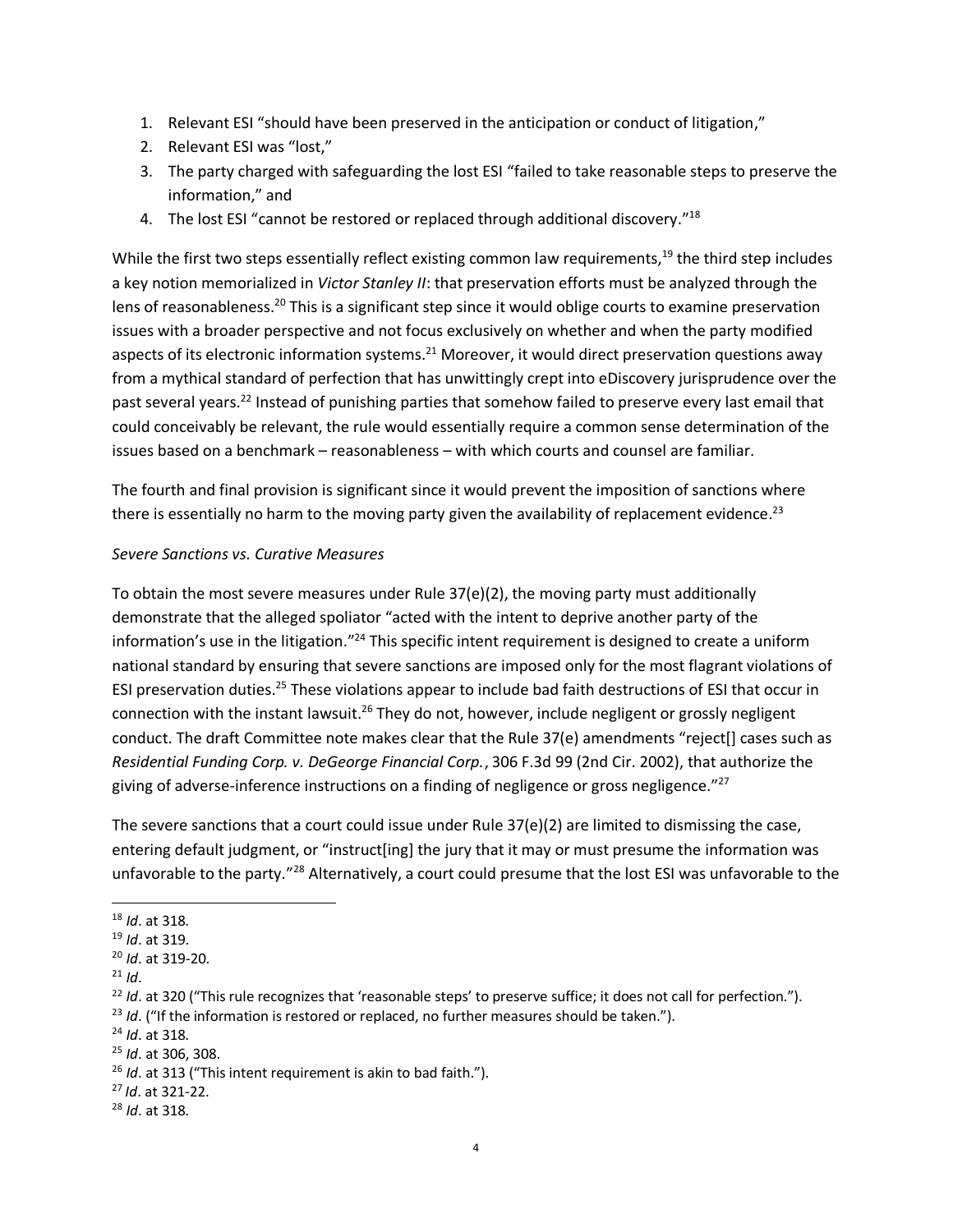- 1. Relevant ESI "should have been preserved in the anticipation or conduct of litigation,"
- 2. Relevant ESI was "lost,"
- 3. The party charged with safeguarding the lost ESI "failed to take reasonable steps to preserve the information," and
- 4. The lost ESI "cannot be restored or replaced through additional discovery." $18$

While the first two steps essentially reflect existing common law requirements,<sup>19</sup> the third step includes a key notion memorialized in *Victor Stanley II*: that preservation efforts must be analyzed through the lens of reasonableness.<sup>20</sup> This is a significant step since it would oblige courts to examine preservation issues with a broader perspective and not focus exclusively on whether and when the party modified aspects of its electronic information systems.<sup>21</sup> Moreover, it would direct preservation questions away from a mythical standard of perfection that has unwittingly crept into eDiscovery jurisprudence over the past several years.<sup>22</sup> Instead of punishing parties that somehow failed to preserve every last email that could conceivably be relevant, the rule would essentially require a common sense determination of the issues based on a benchmark – reasonableness – with which courts and counsel are familiar.

The fourth and final provision is significant since it would prevent the imposition of sanctions where there is essentially no harm to the moving party given the availability of replacement evidence.<sup>23</sup>

### *Severe Sanctions vs. Curative Measures*

To obtain the most severe measures under Rule  $37(e)(2)$ , the moving party must additionally demonstrate that the alleged spoliator "acted with the intent to deprive another party of the information's use in the litigation."<sup>24</sup> This specific intent requirement is designed to create a uniform national standard by ensuring that severe sanctions are imposed only for the most flagrant violations of ESI preservation duties.<sup>25</sup> These violations appear to include bad faith destructions of ESI that occur in connection with the instant lawsuit.<sup>26</sup> They do not, however, include negligent or grossly negligent conduct. The draft Committee note makes clear that the Rule 37(e) amendments "reject[] cases such as *Residential Funding Corp. v. DeGeorge Financial Corp.*, 306 F.3d 99 (2nd Cir. 2002), that authorize the giving of adverse-inference instructions on a finding of negligence or gross negligence." $^{27}$ 

The severe sanctions that a court could issue under Rule 37(e)(2) are limited to dismissing the case, entering default judgment, or "instruct[ing] the jury that it may or must presume the information was unfavorable to the party."<sup>28</sup> Alternatively, a court could presume that the lost ESI was unfavorable to the

 $^{21}$  *Id*.

 $\overline{\phantom{a}}$ 

<sup>27</sup> *Id*. at 321-22.

<sup>18</sup> *Id*. at 318.

<sup>19</sup> *Id*. at 319.

<sup>20</sup> *Id*. at 319-20.

<sup>&</sup>lt;sup>22</sup> *Id.* at 320 ("This rule recognizes that 'reasonable steps' to preserve suffice; it does not call for perfection.").

<sup>&</sup>lt;sup>23</sup> *Id.* ("If the information is restored or replaced, no further measures should be taken.").

<sup>24</sup> *Id*. at 318.

<sup>25</sup> *Id*. at 306, 308.

<sup>26</sup> *Id*. at 313 ("This intent requirement is akin to bad faith.").

<sup>28</sup> *Id*. at 318.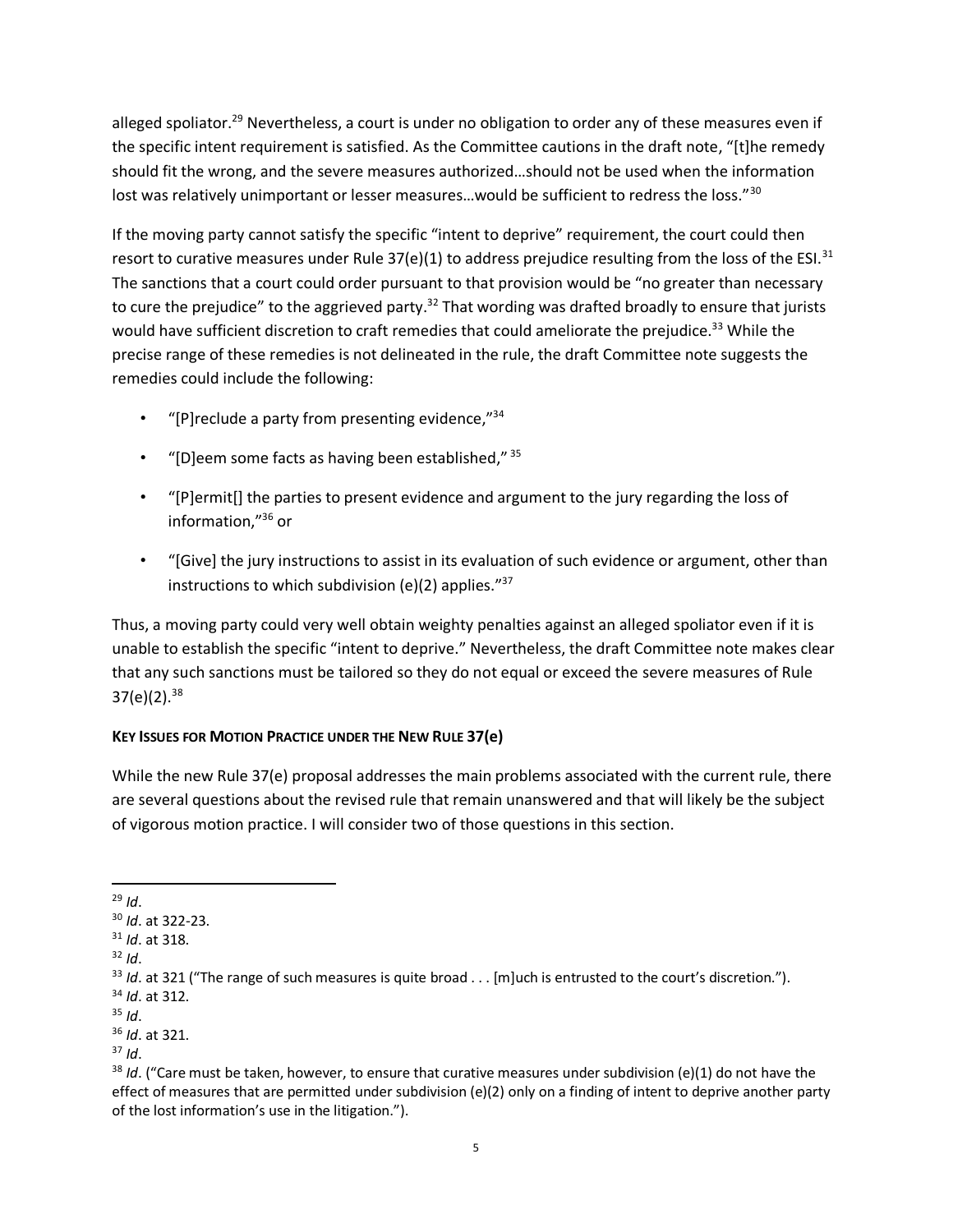alleged spoliator.<sup>29</sup> Nevertheless, a court is under no obligation to order any of these measures even if the specific intent requirement is satisfied. As the Committee cautions in the draft note, "[t]he remedy should fit the wrong, and the severe measures authorized…should not be used when the information lost was relatively unimportant or lesser measures...would be sufficient to redress the loss."30

If the moving party cannot satisfy the specific "intent to deprive" requirement, the court could then resort to curative measures under Rule 37(e)(1) to address prejudice resulting from the loss of the ESI.<sup>31</sup> The sanctions that a court could order pursuant to that provision would be "no greater than necessary to cure the prejudice" to the aggrieved party.<sup>32</sup> That wording was drafted broadly to ensure that jurists would have sufficient discretion to craft remedies that could ameliorate the prejudice.<sup>33</sup> While the precise range of these remedies is not delineated in the rule, the draft Committee note suggests the remedies could include the following:

- "[P]reclude a party from presenting evidence," $34$
- "[D]eem some facts as having been established," 35
- "[P]ermit[] the parties to present evidence and argument to the jury regarding the loss of information," <sup>36</sup> or
- "[Give] the jury instructions to assist in its evaluation of such evidence or argument, other than instructions to which subdivision (e)(2) applies. $37$

Thus, a moving party could very well obtain weighty penalties against an alleged spoliator even if it is unable to establish the specific "intent to deprive." Nevertheless, the draft Committee note makes clear that any such sanctions must be tailored so they do not equal or exceed the severe measures of Rule  $37(e)(2).^{38}$ 

# **KEY ISSUES FOR MOTION PRACTICE UNDER THE NEW RULE 37(e)**

While the new Rule 37(e) proposal addresses the main problems associated with the current rule, there are several questions about the revised rule that remain unanswered and that will likely be the subject of vigorous motion practice. I will consider two of those questions in this section.

<sup>29</sup> *Id*.

 $\overline{a}$ 

 $32$  *Id.* 

<sup>30</sup> *Id*. at 322-23.

<sup>31</sup> *Id*. at 318.

<sup>33</sup> *Id*. at 321 ("The range of such measures is quite broad . . . [m]uch is entrusted to the court's discretion."). <sup>34</sup> *Id*. at 312.

 $35$  *Id.* 

<sup>36</sup> *Id*. at 321.

<sup>37</sup> *Id*.

<sup>&</sup>lt;sup>38</sup> *Id.* ("Care must be taken, however, to ensure that curative measures under subdivision (e)(1) do not have the effect of measures that are permitted under subdivision (e)(2) only on a finding of intent to deprive another party of the lost information's use in the litigation.").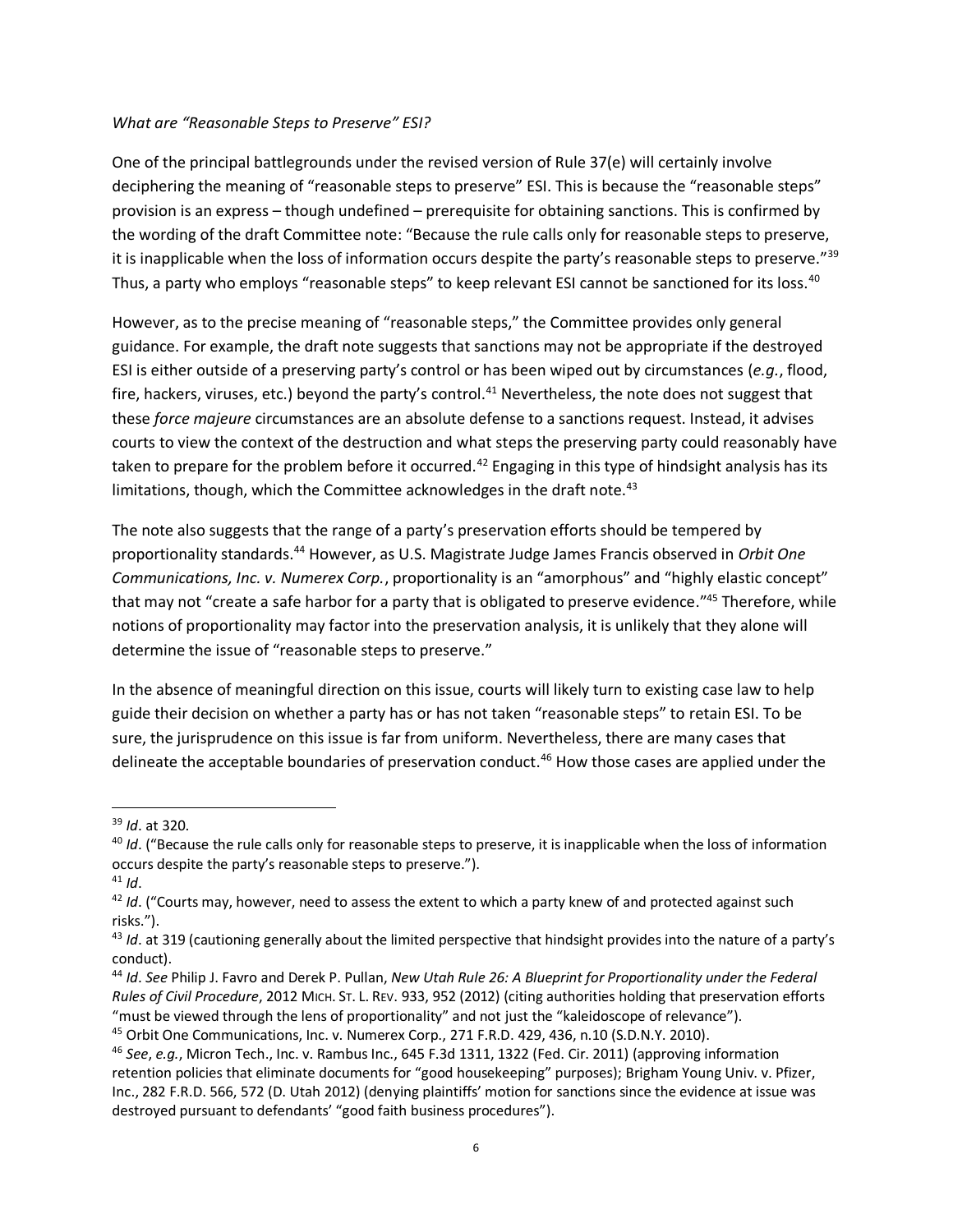#### *What are "Reasonable Steps to Preserve" ESI?*

One of the principal battlegrounds under the revised version of Rule 37(e) will certainly involve deciphering the meaning of "reasonable steps to preserve" ESI. This is because the "reasonable steps" provision is an express – though undefined – prerequisite for obtaining sanctions. This is confirmed by the wording of the draft Committee note: "Because the rule calls only for reasonable steps to preserve, it is inapplicable when the loss of information occurs despite the party's reasonable steps to preserve."<sup>39</sup> Thus, a party who employs "reasonable steps" to keep relevant ESI cannot be sanctioned for its loss.<sup>40</sup>

However, as to the precise meaning of "reasonable steps," the Committee provides only general guidance. For example, the draft note suggests that sanctions may not be appropriate if the destroyed ESI is either outside of a preserving party's control or has been wiped out by circumstances (*e.g.*, flood, fire, hackers, viruses, etc.) beyond the party's control.<sup>41</sup> Nevertheless, the note does not suggest that these *force majeure* circumstances are an absolute defense to a sanctions request. Instead, it advises courts to view the context of the destruction and what steps the preserving party could reasonably have taken to prepare for the problem before it occurred.<sup>42</sup> Engaging in this type of hindsight analysis has its limitations, though, which the Committee acknowledges in the draft note. $43$ 

The note also suggests that the range of a party's preservation efforts should be tempered by proportionality standards. <sup>44</sup> However, as U.S. Magistrate Judge James Francis observed in *Orbit One Communications, Inc. v. Numerex Corp.*, proportionality is an "amorphous" and "highly elastic concept" that may not "create a safe harbor for a party that is obligated to preserve evidence."<sup>45</sup> Therefore, while notions of proportionality may factor into the preservation analysis, it is unlikely that they alone will determine the issue of "reasonable steps to preserve."

In the absence of meaningful direction on this issue, courts will likely turn to existing case law to help guide their decision on whether a party has or has not taken "reasonable steps" to retain ESI. To be sure, the jurisprudence on this issue is far from uniform. Nevertheless, there are many cases that delineate the acceptable boundaries of preservation conduct. <sup>46</sup> How those cases are applied under the

<sup>41</sup> *Id*.

 $\overline{a}$ 

<sup>39</sup> *Id*. at 320.

<sup>&</sup>lt;sup>40</sup> *Id*. ("Because the rule calls only for reasonable steps to preserve, it is inapplicable when the loss of information occurs despite the party's reasonable steps to preserve.").

<sup>&</sup>lt;sup>42</sup> Id. ("Courts may, however, need to assess the extent to which a party knew of and protected against such risks.").

<sup>&</sup>lt;sup>43</sup> *Id*. at 319 (cautioning generally about the limited perspective that hindsight provides into the nature of a party's conduct).

<sup>44</sup> *Id*. *See* Philip J. Favro and Derek P. Pullan, *New Utah Rule 26: A Blueprint for Proportionality under the Federal Rules of Civil Procedure*, 2012 MICH. ST. L. REV. 933, 952 (2012) (citing authorities holding that preservation efforts "must be viewed through the lens of proportionality" and not just the "kaleidoscope of relevance").

<sup>45</sup> Orbit One Communications, Inc. v. Numerex Corp., 271 F.R.D. 429, 436, n.10 (S.D.N.Y. 2010).

<sup>46</sup> *See*, *e.g.*, Micron Tech., Inc. v. Rambus Inc., 645 F.3d 1311, 1322 (Fed. Cir. 2011) (approving information retention policies that eliminate documents for "good housekeeping" purposes); Brigham Young Univ. v. Pfizer, Inc., 282 F.R.D. 566, 572 (D. Utah 2012) (denying plaintiffs' motion for sanctions since the evidence at issue was destroyed pursuant to defendants' "good faith business procedures").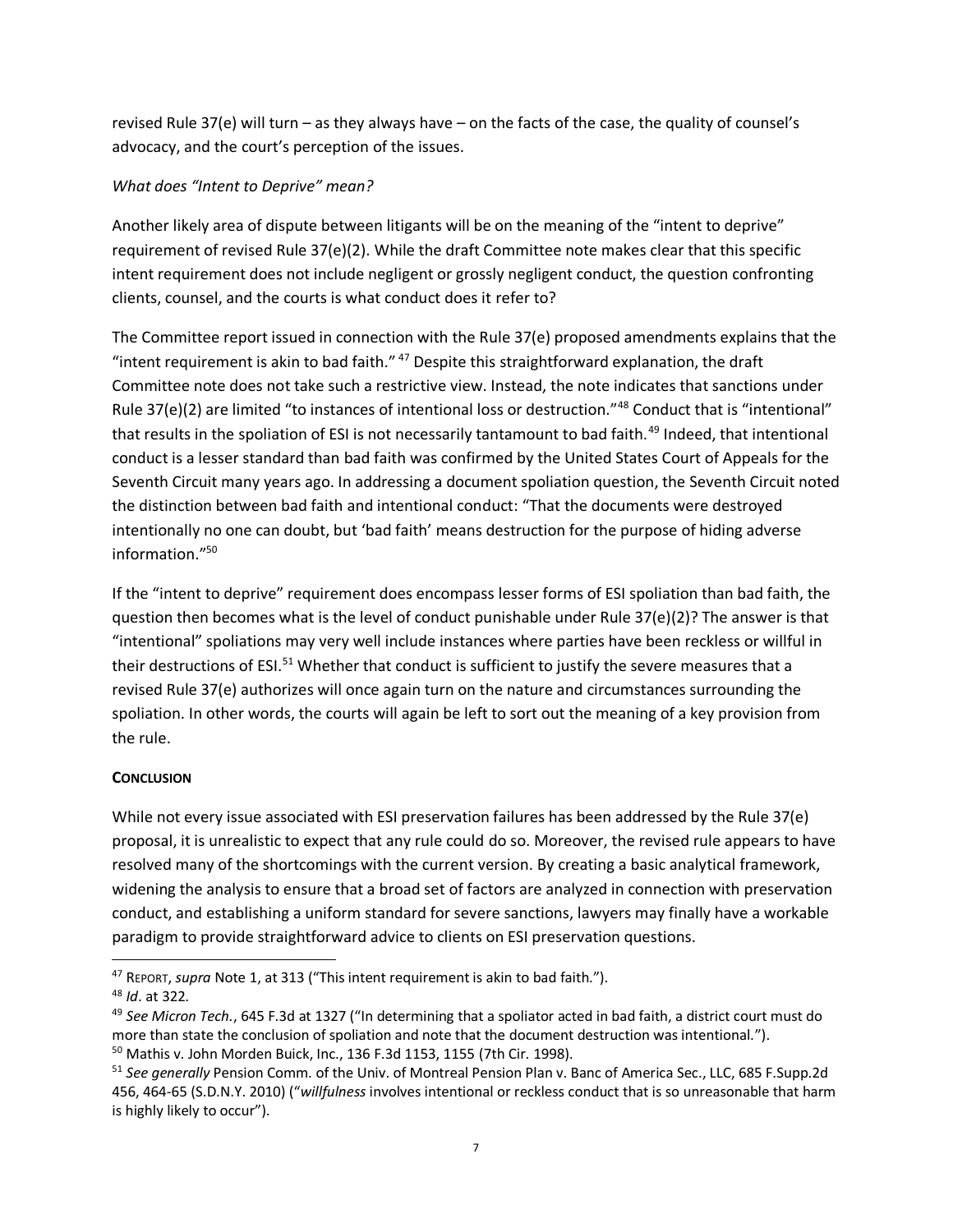revised Rule 37(e) will turn – as they always have – on the facts of the case, the quality of counsel's advocacy, and the court's perception of the issues.

## *What does "Intent to Deprive" mean?*

Another likely area of dispute between litigants will be on the meaning of the "intent to deprive" requirement of revised Rule 37(e)(2). While the draft Committee note makes clear that this specific intent requirement does not include negligent or grossly negligent conduct, the question confronting clients, counsel, and the courts is what conduct does it refer to?

The Committee report issued in connection with the Rule 37(e) proposed amendments explains that the "intent requirement is akin to bad faith."  $47$  Despite this straightforward explanation, the draft Committee note does not take such a restrictive view. Instead, the note indicates that sanctions under Rule 37(e)(2) are limited "to instances of intentional loss or destruction."<sup>48</sup> Conduct that is "intentional" that results in the spoliation of ESI is not necessarily tantamount to bad faith.<sup>49</sup> Indeed, that intentional conduct is a lesser standard than bad faith was confirmed by the United States Court of Appeals for the Seventh Circuit many years ago. In addressing a document spoliation question, the Seventh Circuit noted the distinction between bad faith and intentional conduct: "That the documents were destroyed intentionally no one can doubt, but 'bad faith' means destruction for the purpose of hiding adverse information." 50

If the "intent to deprive" requirement does encompass lesser forms of ESI spoliation than bad faith, the question then becomes what is the level of conduct punishable under Rule 37(e)(2)? The answer is that "intentional" spoliations may very well include instances where parties have been reckless or willful in their destructions of ESI.<sup>51</sup> Whether that conduct is sufficient to justify the severe measures that a revised Rule 37(e) authorizes will once again turn on the nature and circumstances surrounding the spoliation. In other words, the courts will again be left to sort out the meaning of a key provision from the rule.

### **CONCLUSION**

While not every issue associated with ESI preservation failures has been addressed by the Rule 37(e) proposal, it is unrealistic to expect that any rule could do so. Moreover, the revised rule appears to have resolved many of the shortcomings with the current version. By creating a basic analytical framework, widening the analysis to ensure that a broad set of factors are analyzed in connection with preservation conduct, and establishing a uniform standard for severe sanctions, lawyers may finally have a workable paradigm to provide straightforward advice to clients on ESI preservation questions.

 $\overline{a}$ 

<sup>47</sup> REPORT, *supra* Note 1, at 313 ("This intent requirement is akin to bad faith.").

<sup>48</sup> *Id*. at 322.

<sup>49</sup> *See Micron Tech.*, 645 F.3d at 1327 ("In determining that a spoliator acted in bad faith, a district court must do more than state the conclusion of spoliation and note that the document destruction was intentional."). <sup>50</sup> Mathis v. John Morden Buick, Inc., 136 F.3d 1153, 1155 (7th Cir. 1998).

<sup>51</sup> *See generally* Pension Comm. of the Univ. of Montreal Pension Plan v. Banc of America Sec., LLC, 685 F.Supp.2d 456, 464-65 (S.D.N.Y. 2010) ("*willfulness* involves intentional or reckless conduct that is so unreasonable that harm is highly likely to occur").